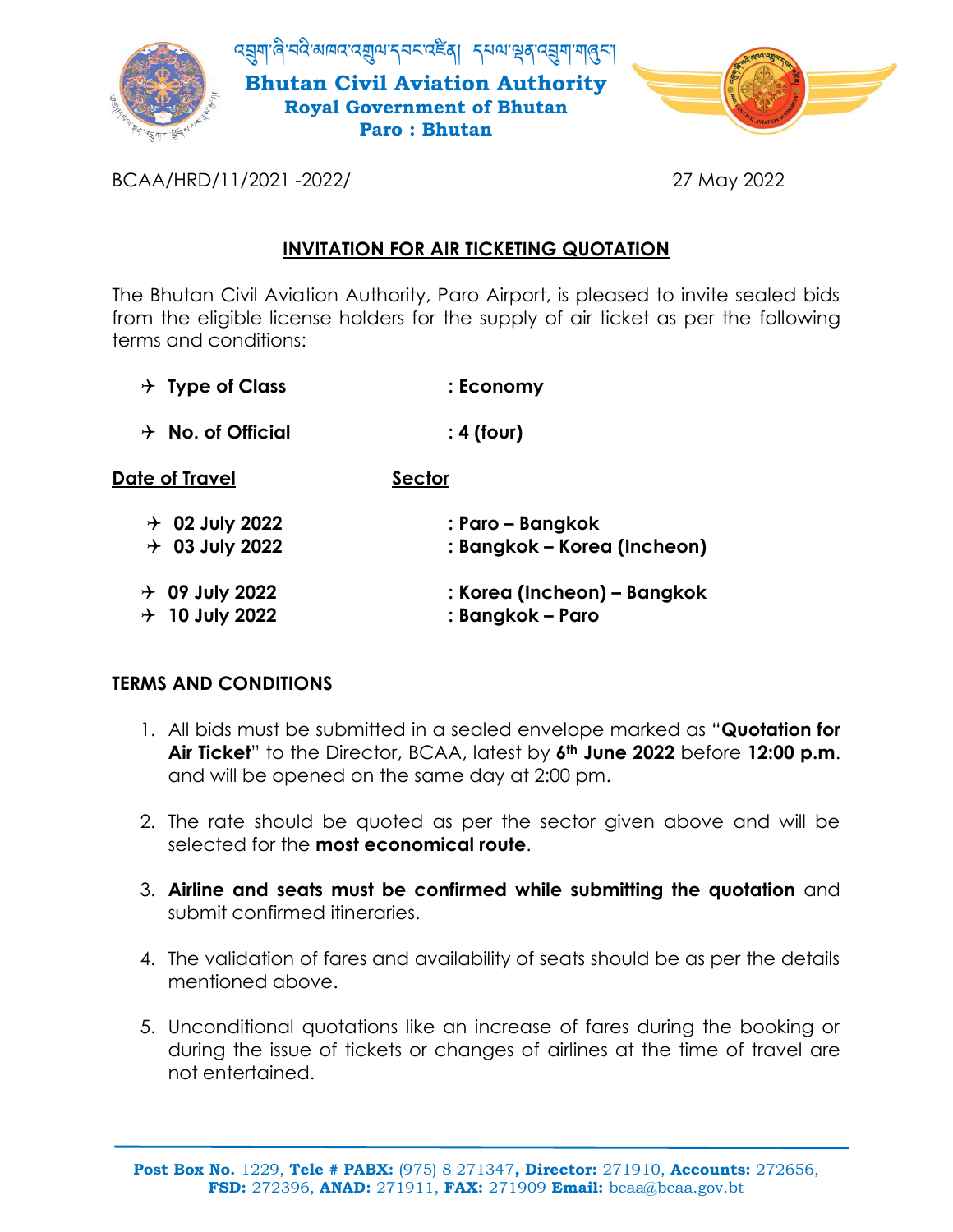

BCAA/HRD/11/2021 -2022/ 27 May 2022

## **INVITATION FOR AIR TICKETING QUOTATION**

The Bhutan Civil Aviation Authority, Paro Airport, is pleased to invite sealed bids from the eligible license holders for the supply of air ticket as per the following terms and conditions:

- **Type of Class : Economy**
- **No. of Official : 4 (four)**

| Date of Travel      | Sector                      |
|---------------------|-----------------------------|
| $\div$ 02 July 2022 | : Paro – Bangkok            |
| $\div$ 03 July 2022 | : Bangkok – Korea (Incheon) |
| $\div$ 09 July 2022 | : Korea (Incheon) – Bangkok |
| $\div$ 10 July 2022 | : Bangkok – Paro            |

## **TERMS AND CONDITIONS**

- 1. All bids must be submitted in a sealed envelope marked as "**Quotation for Air Ticket**" to the Director, BCAA, latest by **6th June 2022** before **12:00 p.m**. and will be opened on the same day at 2:00 pm.
- 2. The rate should be quoted as per the sector given above and will be selected for the **most economical route**.
- 3. **Airline and seats must be confirmed while submitting the quotation** and submit confirmed itineraries.
- 4. The validation of fares and availability of seats should be as per the details mentioned above.
- 5. Unconditional quotations like an increase of fares during the booking or during the issue of tickets or changes of airlines at the time of travel are not entertained.

**Post Box No.** 1229, **Tele # PABX:** (975) 8 271347**, Director:** 271910, **Accounts:** 272656, **FSD:** 272396, **ANAD:** 271911, **FAX:** 271909 **Email:** bcaa@bcaa.gov.bt